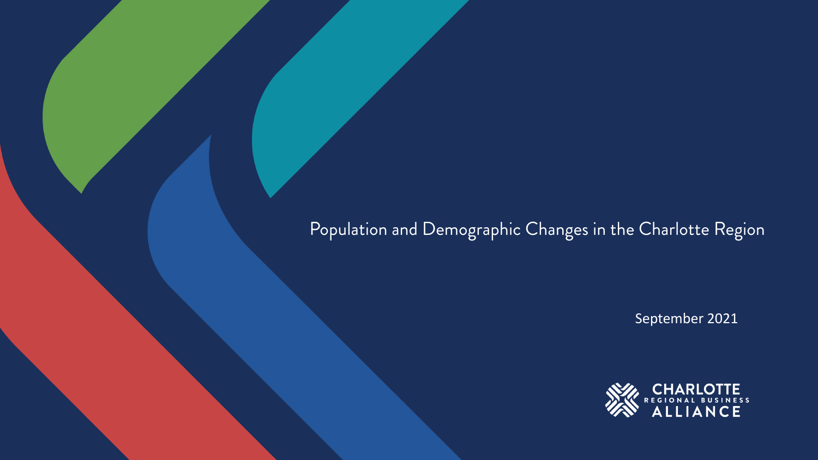#### Population and Demographic Changes in the Charlotte Region

September 2021

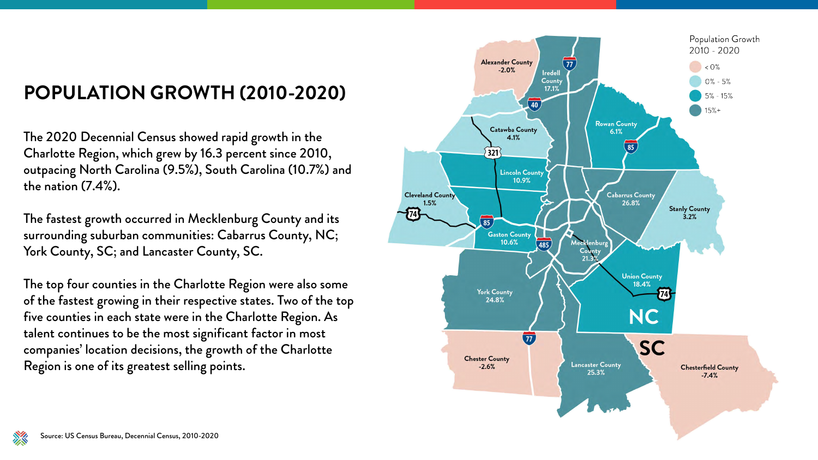## POPULATION GROWTH (2010-2020)

The 2020 Decennial Census showed rapid growth in the Charlotte Region, which grew by 16.3 percent since 2010, outpacing North Carolina (9.5%), South Carolina (10.7%) and the nation  $(7.4\%)$ .

The fastest growth occurred in Mecklenburg County and its surrounding suburban communities: Cabarrus County, NC; York County, SC; and Lancaster County, SC.

The top four counties in the Charlotte Region were also some of the fastest growing in their respective states. Two of the top five counties in each state were in the Charlotte Region. As talent continues to be the most significant factor in most companies' location decisions, the growth of the Charlotte Region is one of its greatest selling points.





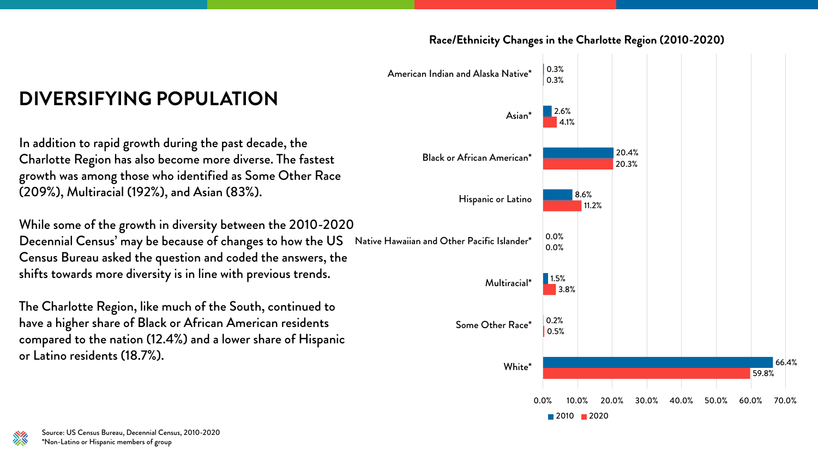





Decennial Census' may be because of changes to how the US Native Hawaiian and Other Pacific Islander\* While some of the growth in diversity between the 2010-2020 Census Bureau asked the question and coded the answers, the shifts towards more diversity is in line with previous trends.

# **DIVERSIFYING POPULATION**

In addition to rapid growth during the past decade, the Charlotte Region has also become more diverse. The fastest growth was among those who identified as Some Other Race (209%), Multiracial (192%), and Asian (83%).

The Charlotte Region, like much of the South, continued to have a higher share of Black or African American residents compared to the nation (12.4%) and a lower share of Hispanic or Latino residents (18.7%).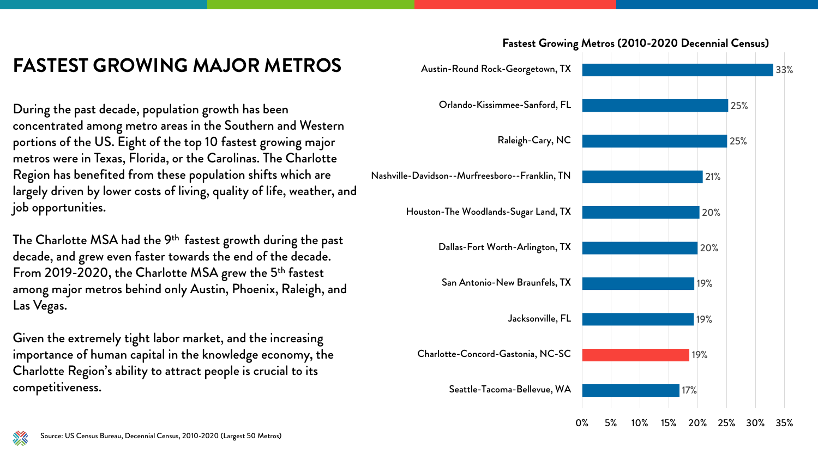#### **FASTEST GROWING MAJOR METROS**

During the past decade, population growth has been concentrated among metro areas in the Southern and Western portions of the US. Eight of the top 10 fastest growing major metros were in Texas, Florida, or the Carolinas. The Charlotte Region has benefited from these population shifts which are largely driven by lower costs of living, quality of life, weather, and job opportunities.

The Charlotte MSA had the 9<sup>th</sup> fastest growth during the past decade, and grew even faster towards the end of the decade. From 2019-2020, the Charlotte MSA grew the 5<sup>th</sup> fastest among major metros behind only Austin, Phoenix, Raleigh, and Las Vegas.

Given the extremely tight labor market, and the increasing importance of human capital in the knowledge economy, the Charlotte Region's ability to attract people is crucial to its



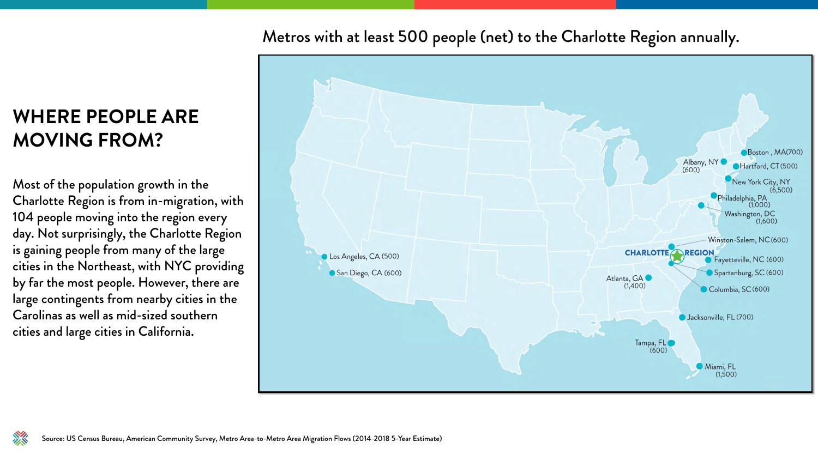## **WHERE PEOPLE ARE MOVING FROM?**

Most of the population growth in the Charlotte Region is from in-migration, with 104 people moving into the region every day. Not surprisingly, the Charlotte Region is gaining people from many of the large cities in the Northeast, with NYC providing by far the most people. However, there are large contingents from nearby cities in the Carolinas as well as mid-sized southern cities and large cities in California.

#### Metros with at least 500 people (net) to the Charlotte Region annually.

Los Angeles, CA (500)

San Diego, CA (600)



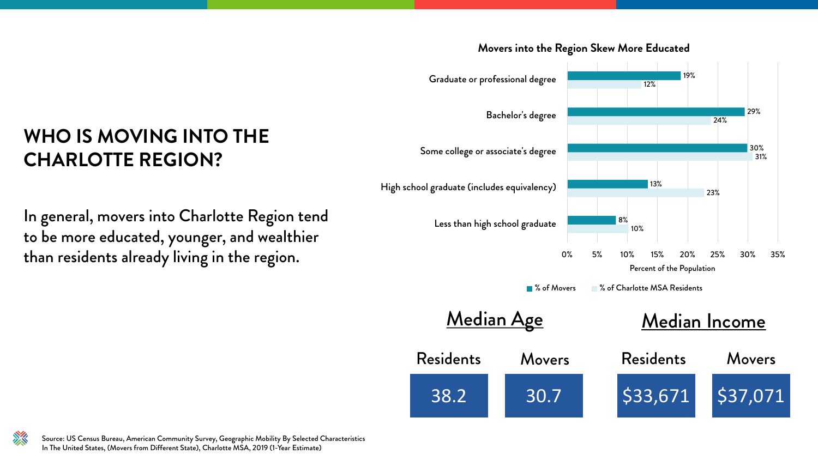

#### **Movers into the Region Skew More Educated**



### **WHO IS MOVING INTO THE CHARLOTTE REGION?**

In general, movers into Charlotte Region tend to be more educated, younger, and wealthier than residents already living in the region.



Source: US Census Bureau, American Community Survey, Geographic Mobility By Selected Characteristics In The United States, (Movers from Different State), Charlotte MSA, 2019 (1-Year Estimate)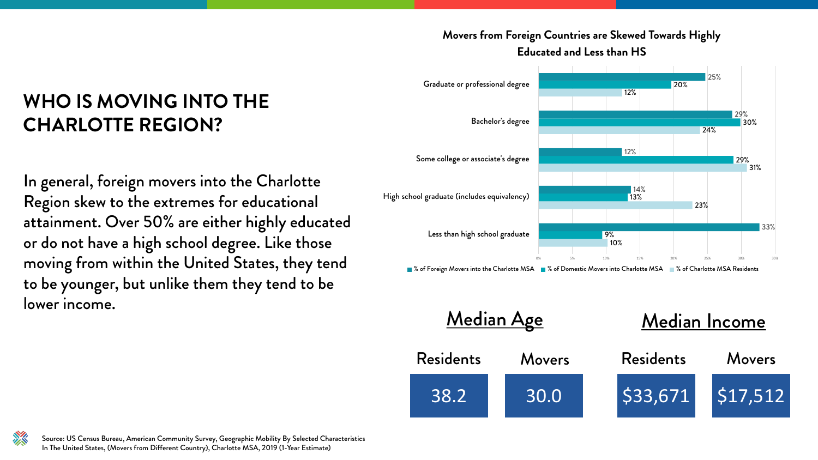| Median Age       |               | Median Income    |          |
|------------------|---------------|------------------|----------|
| <b>Residents</b> | <b>Movers</b> | <b>Residents</b> | Movers   |
| 38.2             | 30.0          | 533,671          | \$17,512 |





#### **WHO IS MOVING INTO THE CHARLOTTE REGION?**

In general, foreign movers into the Charlotte Region skew to the extremes for educational attainment. Over 50% are either highly educated or do not have a high school degree. Like those moving from within the United States, they tend to be younger, but unlike them they tend to be lower income.



Source: US Census Bureau, American Community Survey, Geographic Mobility By Selected Characteristics In The United States, (Movers from Different Country), Charlotte MSA, 2019 (1-Year Estimate)



#### **Movers from Foreign Countries are Skewed Towards Highly Educated and Less than HS**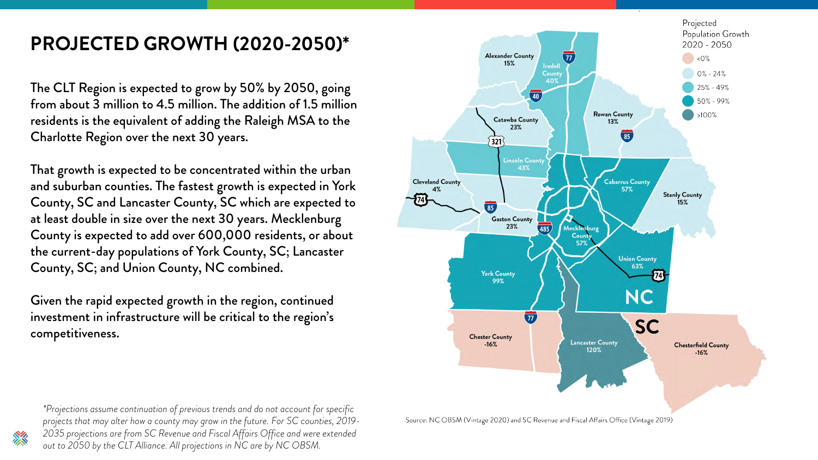## **PROJECTED GROWTH (2020-2050)\***

The CLT Region is expected to grow by 50% by 2050, going from about 3 million to 4.5 million. The addition of 1.5 million residents is the equivalent of adding the Raleigh MSA to the Charlotte Region over the next 30 years.

That growth is expected to be concentrated within the urban and suburban counties. The fastest growth is expected in York County, SC and Lancaster County, SC which are expected to at least double in size over the next 30 years. Mecklenburg County is expected to add over 600,000 residents, or about the current-day populations of York County, SC; Lancaster County, SC; and Union County, NC combined.

Given the rapid expected growth in the region, continued investment in infrastructure will be critical to the region's competitiveness.



\*Projections assume continuation of previous trends and do not account for specific projects that may alter how a county may grow in the future. For SC counties, 2019-2035 projections are from SC Revenue and Fiscal Affairs Office and were extended out to 2050 by the CLT Alliance. All projections in NC are by NC OBSM.



Source: NC OBSM (Vintage 2020) and SC Revenue and Fiscal Affairs Office (Vintage 2019)